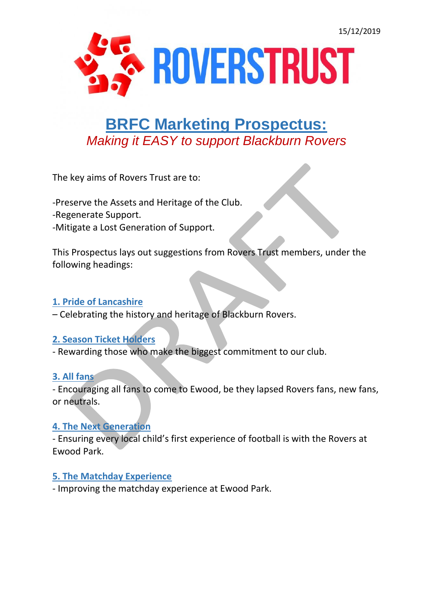

# **BRFC Marketing Prospectus:** *Making it EASY to support Blackburn Rovers*

The key aims of Rovers Trust are to:

-Preserve the Assets and Heritage of the Club.

- -Regenerate Support.
- -Mitigate a Lost Generation of Support.

This Prospectus lays out suggestions from Rovers Trust members, under the following headings:

#### **1. Pride of Lancashire**

– Celebrating the history and heritage of Blackburn Rovers.

#### **2. Season Ticket Holders**

- Rewarding those who make the biggest commitment to our club.

## **3. All fans**

- Encouraging all fans to come to Ewood, be they lapsed Rovers fans, new fans, or neutrals.

#### **4. The Next Generation**

- Ensuring every local child's first experience of football is with the Rovers at Ewood Park.

## **5. The Matchday Experience**

- Improving the matchday experience at Ewood Park.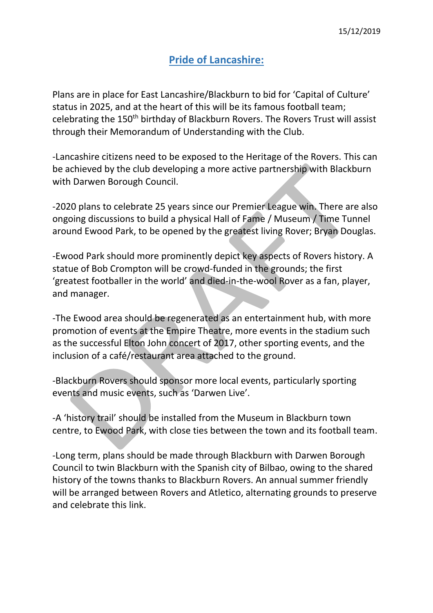# **Pride of Lancashire:**

Plans are in place for East Lancashire/Blackburn to bid for 'Capital of Culture' status in 2025, and at the heart of this will be its famous football team; celebrating the 150<sup>th</sup> birthday of Blackburn Rovers. The Rovers Trust will assist through their Memorandum of Understanding with the Club.

-Lancashire citizens need to be exposed to the Heritage of the Rovers. This can be achieved by the club developing a more active partnership with Blackburn with Darwen Borough Council.

-2020 plans to celebrate 25 years since our Premier League win. There are also ongoing discussions to build a physical Hall of Fame / Museum / Time Tunnel around Ewood Park, to be opened by the greatest living Rover; Bryan Douglas.

-Ewood Park should more prominently depict key aspects of Rovers history. A statue of Bob Crompton will be crowd-funded in the grounds; the first 'greatest footballer in the world' and died-in-the-wool Rover as a fan, player, and manager.

-The Ewood area should be regenerated as an entertainment hub, with more promotion of events at the Empire Theatre, more events in the stadium such as the successful Elton John concert of 2017, other sporting events, and the inclusion of a café/restaurant area attached to the ground.

-Blackburn Rovers should sponsor more local events, particularly sporting events and music events, such as 'Darwen Live'.

-A 'history trail' should be installed from the Museum in Blackburn town centre, to Ewood Park, with close ties between the town and its football team.

-Long term, plans should be made through Blackburn with Darwen Borough Council to twin Blackburn with the Spanish city of Bilbao, owing to the shared history of the towns thanks to Blackburn Rovers. An annual summer friendly will be arranged between Rovers and Atletico, alternating grounds to preserve and celebrate this link.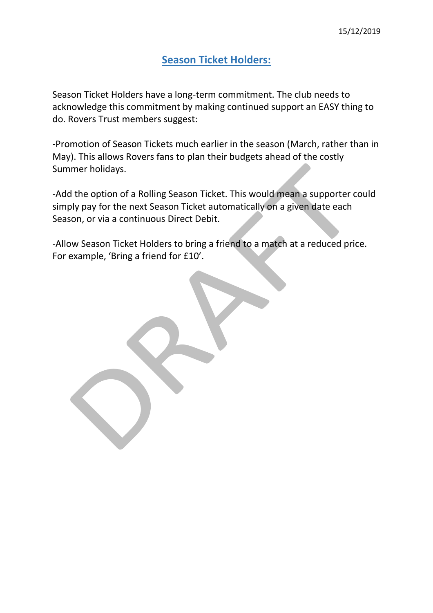## **Season Ticket Holders:**

Season Ticket Holders have a long-term commitment. The club needs to acknowledge this commitment by making continued support an EASY thing to do. Rovers Trust members suggest:

-Promotion of Season Tickets much earlier in the season (March, rather than in May). This allows Rovers fans to plan their budgets ahead of the costly Summer holidays.

-Add the option of a Rolling Season Ticket. This would mean a supporter could simply pay for the next Season Ticket automatically on a given date each Season, or via a continuous Direct Debit.

-Allow Season Ticket Holders to bring a friend to a match at a reduced price. For example, 'Bring a friend for £10'.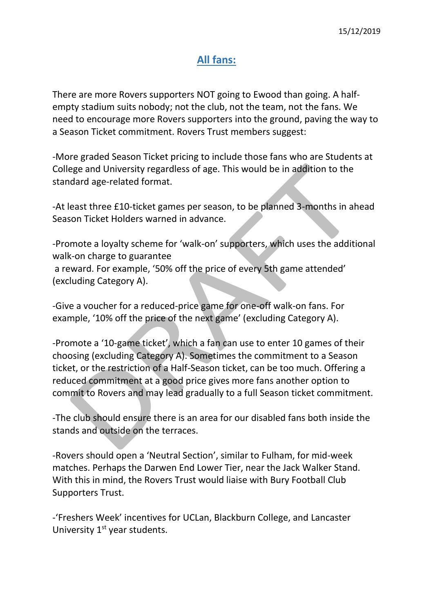#### **All fans:**

There are more Rovers supporters NOT going to Ewood than going. A halfempty stadium suits nobody; not the club, not the team, not the fans. We need to encourage more Rovers supporters into the ground, paving the way to a Season Ticket commitment. Rovers Trust members suggest:

-More graded Season Ticket pricing to include those fans who are Students at College and University regardless of age. This would be in addition to the standard age-related format.

-At least three £10-ticket games per season, to be planned 3-months in ahead Season Ticket Holders warned in advance.

-Promote a loyalty scheme for 'walk-on' supporters, which uses the additional walk-on charge to guarantee a reward. For example, '50% off the price of every 5th game attended' (excluding Category A).

-Give a voucher for a reduced-price game for one-off walk-on fans. For example, '10% off the price of the next game' (excluding Category A).

-Promote a '10-game ticket', which a fan can use to enter 10 games of their choosing (excluding Category A). Sometimes the commitment to a Season ticket, or the restriction of a Half-Season ticket, can be too much. Offering a reduced commitment at a good price gives more fans another option to commit to Rovers and may lead gradually to a full Season ticket commitment.

-The club should ensure there is an area for our disabled fans both inside the stands and outside on the terraces.

-Rovers should open a 'Neutral Section', similar to Fulham, for mid-week matches. Perhaps the Darwen End Lower Tier, near the Jack Walker Stand. With this in mind, the Rovers Trust would liaise with Bury Football Club Supporters Trust.

-'Freshers Week' incentives for UCLan, Blackburn College, and Lancaster University  $1<sup>st</sup>$  year students.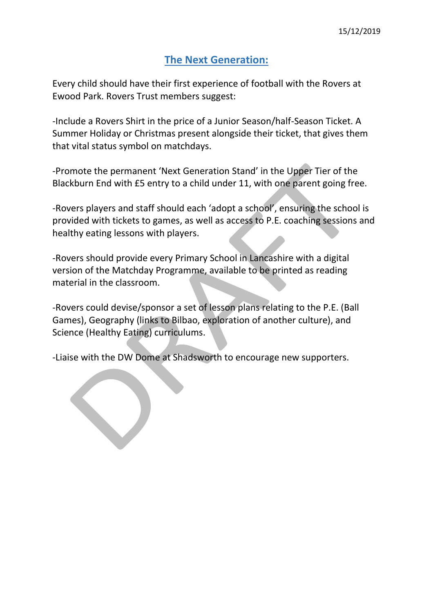## **The Next Generation:**

Every child should have their first experience of football with the Rovers at Ewood Park. Rovers Trust members suggest:

-Include a Rovers Shirt in the price of a Junior Season/half-Season Ticket. A Summer Holiday or Christmas present alongside their ticket, that gives them that vital status symbol on matchdays.

-Promote the permanent 'Next Generation Stand' in the Upper Tier of the Blackburn End with £5 entry to a child under 11, with one parent going free.

-Rovers players and staff should each 'adopt a school', ensuring the school is provided with tickets to games, as well as access to P.E. coaching sessions and healthy eating lessons with players.

-Rovers should provide every Primary School in Lancashire with a digital version of the Matchday Programme, available to be printed as reading material in the classroom.

-Rovers could devise/sponsor a set of lesson plans relating to the P.E. (Ball Games), Geography (links to Bilbao, exploration of another culture), and Science (Healthy Eating) curriculums.

-Liaise with the DW Dome at Shadsworth to encourage new supporters.